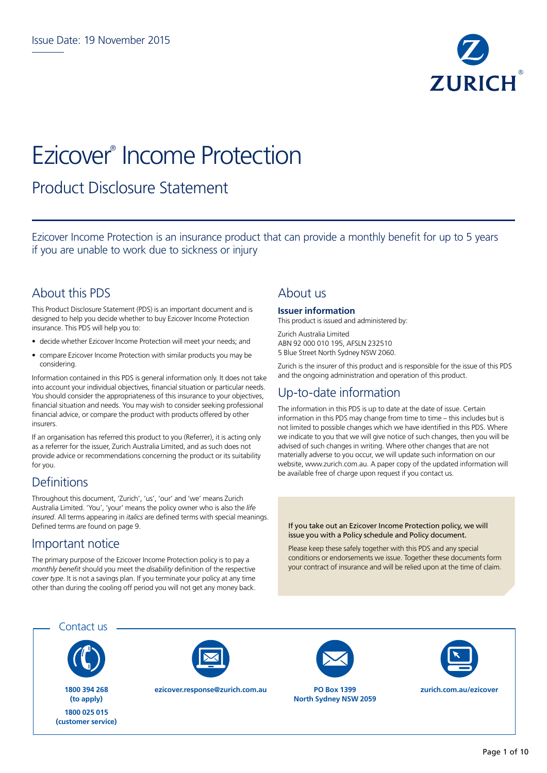

# Ezicover® Income Protection

## Product Disclosure Statement

Ezicover Income Protection is an insurance product that can provide a monthly benefit for up to 5 years if you are unable to work due to sickness or injury

## About this PDS

This Product Disclosure Statement (PDS) is an important document and is designed to help you decide whether to buy Ezicover Income Protection insurance. This PDS will help you to:

- decide whether Ezicover Income Protection will meet your needs; and
- compare Ezicover Income Protection with similar products you may be considering.

Information contained in this PDS is general information only. It does not take into account your individual objectives, financial situation or particular needs. You should consider the appropriateness of this insurance to your objectives, financial situation and needs. You may wish to consider seeking professional financial advice, or compare the product with products offered by other insurers.

If an organisation has referred this product to you (Referrer), it is acting only as a referrer for the issuer, Zurich Australia Limited, and as such does not provide advice or recommendations concerning the product or its suitability for you.

## **Definitions**

Throughout this document, 'Zurich', 'us', 'our' and 'we' means Zurich Australia Limited. 'You', 'your' means the policy owner who is also the *life insured*. All terms appearing in *italics* are defined terms with special meanings. Defined terms are found on page 9.

## Important notice

The primary purpose of the Ezicover Income Protection policy is to pay a *monthly benefit* should you meet the *disability* definition of the respective *cover type*. It is not a savings plan. If you terminate your policy at any time other than during the cooling off period you will not get any money back.

### About us

#### **Issuer information**

This product is issued and administered by:

Zurich Australia Limited ABN 92 000 010 195, AFSLN 232510 5 Blue Street North Sydney NSW 2060.

Zurich is the insurer of this product and is responsible for the issue of this PDS and the ongoing administration and operation of this product.

## Up-to-date information

The information in this PDS is up to date at the date of issue. Certain information in this PDS may change from time to time – this includes but is not limited to possible changes which we have identified in this PDS. Where we indicate to you that we will give notice of such changes, then you will be advised of such changes in writing. Where other changes that are not materially adverse to you occur, we will update such information on our website, www.zurich.com.au. A paper copy of the updated information will be available free of charge upon request if you contact us.

If you take out an Ezicover Income Protection policy, we will issue you with a Policy schedule and Policy document.

Please keep these safely together with this PDS and any special conditions or endorsements we issue. Together these documents form your contract of insurance and will be relied upon at the time of claim.

Contact us



**1800 394 268 (to apply) 1800 025 015 (customer service)**



**ezicover.response@zurich.com.au PO Box 1399** 



**North Sydney NSW 2059**



**zurich.com.au/ezicover**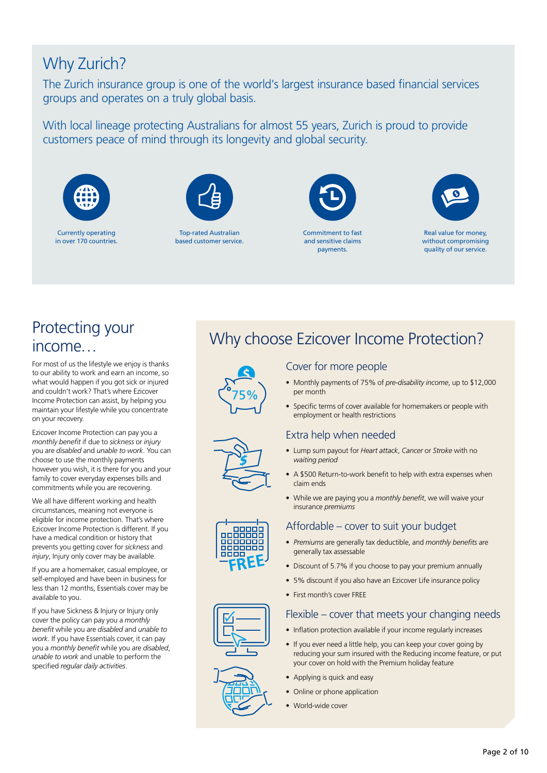## Why Zurich?

The Zurich insurance group is one of the world's largest insurance based financial services groups and operates on a truly global basis.

With local lineage protecting Australians for almost 55 years, Zurich is proud to provide customers peace of mind through its longevity and global security.



Currently operating in over 170 countries.



Top-rated Australian based customer service.



Commitment to fast and sensitive claims payments.



Real value for money, without compromising quality of our service.

## Protecting your income…

For most of us the lifestyle we enjoy is thanks to our ability to work and earn an income, so what would happen if you got sick or injured and couldn't work? That's where Ezicover Income Protection can assist, by helping you maintain your lifestyle while you concentrate on your recovery.

Ezicover Income Protection can pay you a *monthly benefit* if due to *sickness* or *injury* you are *disabled* and *unable to work*. You can choose to use the monthly payments however you wish, it is there for you and your family to cover everyday expenses bills and commitments while you are recovering.

We all have different working and health circumstances, meaning not everyone is eligible for income protection. That's where Ezicover Income Protection is different. If you have a medical condition or history that prevents you getting cover for *sickness* and *injury*, Injury only cover may be available.

If you are a homemaker, casual employee, or self-employed and have been in business for less than 12 months, Essentials cover may be available to you.

If you have Sickness & Injury or Injury only cover the policy can pay you a *monthly benefit* while you are *disabled* and *unable to work*. If you have Essentials cover, it can pay you a *monthly benefit* while you are *disabled*, *unable to work* and unable to perform the specified *regular daily activities*.

## Why choose Ezicover Income Protection?



\$

**FREE**

nnnnr

## Cover for more people

- Monthly payments of 75% of *pre-disability income*, up to \$12,000 per month
- Specific terms of cover available for homemakers or people with employment or health restrictions

### Extra help when needed

- Lump sum payout for *Heart attack*, *Cancer* or *Stroke* with no *waiting period*
- A \$500 Return-to-work benefit to help with extra expenses when claim ends
- While we are paying you a *monthly benefit*, we will waive your insurance *premiums*

### Affordable – cover to suit your budget

- *Premiums* are generally tax deductible, and *monthly benefits* are generally tax assessable
- Discount of 5.7% if you choose to pay your premium annually
- 5% discount if you also have an Ezicover Life insurance policy
- First month's cover FREE

#### Flexible – cover that meets your changing needs

- Inflation protection available if your income regularly increases
- If you ever need a little help, you can keep your cover going by reducing your sum insured with the Reducing income feature, or put your cover on hold with the Premium holiday feature
- Applying is quick and easy
- Online or phone application
- World-wide cover

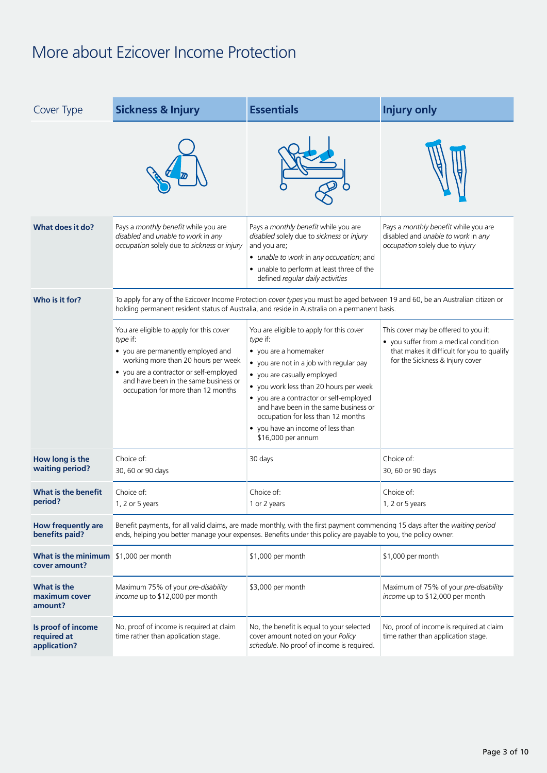## More about Ezicover Income Protection

| <b>Sickness &amp; Injury</b><br>Cover Type             |                                                                                                                                                                                                                                                             | <b>Essentials</b>                                                                                                                                                                                                                                                                                                                                                                      | <b>Injury only</b>                                                                                                                                             |  |  |
|--------------------------------------------------------|-------------------------------------------------------------------------------------------------------------------------------------------------------------------------------------------------------------------------------------------------------------|----------------------------------------------------------------------------------------------------------------------------------------------------------------------------------------------------------------------------------------------------------------------------------------------------------------------------------------------------------------------------------------|----------------------------------------------------------------------------------------------------------------------------------------------------------------|--|--|
|                                                        |                                                                                                                                                                                                                                                             |                                                                                                                                                                                                                                                                                                                                                                                        |                                                                                                                                                                |  |  |
| What does it do?                                       | Pays a monthly benefit while you are<br>disabled and unable to work in any<br>occupation solely due to sickness or injury                                                                                                                                   | Pays a monthly benefit while you are<br>disabled solely due to sickness or injury<br>and you are;<br>• unable to work in any occupation; and<br>• unable to perform at least three of the<br>defined regular daily activities                                                                                                                                                          | Pays a monthly benefit while you are<br>disabled and unable to work in any<br>occupation solely due to injury                                                  |  |  |
| Who is it for?                                         | To apply for any of the Ezicover Income Protection cover types you must be aged between 19 and 60, be an Australian citizen or<br>holding permanent resident status of Australia, and reside in Australia on a permanent basis.                             |                                                                                                                                                                                                                                                                                                                                                                                        |                                                                                                                                                                |  |  |
|                                                        | You are eligible to apply for this cover<br>type if:<br>• you are permanently employed and<br>working more than 20 hours per week<br>• you are a contractor or self-employed<br>and have been in the same business or<br>occupation for more than 12 months | You are eligible to apply for this cover<br>type if:<br>• you are a homemaker<br>• you are not in a job with regular pay<br>• you are casually employed<br>• you work less than 20 hours per week<br>• you are a contractor or self-employed<br>and have been in the same business or<br>occupation for less than 12 months<br>• you have an income of less than<br>\$16,000 per annum | This cover may be offered to you if:<br>• you suffer from a medical condition<br>that makes it difficult for you to qualify<br>for the Sickness & Injury cover |  |  |
| How long is the<br>waiting period?                     | Choice of:<br>30, 60 or 90 days                                                                                                                                                                                                                             | 30 days                                                                                                                                                                                                                                                                                                                                                                                | Choice of:<br>30, 60 or 90 days                                                                                                                                |  |  |
| What is the benefit<br>period?                         | Choice of:<br>1, 2 or 5 years                                                                                                                                                                                                                               | Choice of:<br>1 or 2 years                                                                                                                                                                                                                                                                                                                                                             | Choice of:<br>1, 2 or 5 years                                                                                                                                  |  |  |
| How frequently are<br>benefits paid?                   | Benefit payments, for all valid claims, are made monthly, with the first payment commencing 15 days after the waiting period<br>ends, helping you better manage your expenses. Benefits under this policy are payable to you, the policy owner.             |                                                                                                                                                                                                                                                                                                                                                                                        |                                                                                                                                                                |  |  |
| What is the minimum \$1,000 per month<br>cover amount? |                                                                                                                                                                                                                                                             | \$1,000 per month                                                                                                                                                                                                                                                                                                                                                                      | \$1,000 per month                                                                                                                                              |  |  |
| What is the<br>maximum cover<br>amount?                | Maximum 75% of your pre-disability<br>income up to \$12,000 per month                                                                                                                                                                                       | \$3,000 per month                                                                                                                                                                                                                                                                                                                                                                      | Maximum of 75% of your pre-disability<br>income up to \$12,000 per month                                                                                       |  |  |
| Is proof of income<br>required at<br>application?      | No, proof of income is required at claim<br>time rather than application stage.                                                                                                                                                                             | No, the benefit is equal to your selected<br>cover amount noted on your Policy<br>schedule. No proof of income is required.                                                                                                                                                                                                                                                            | No, proof of income is required at claim<br>time rather than application stage.                                                                                |  |  |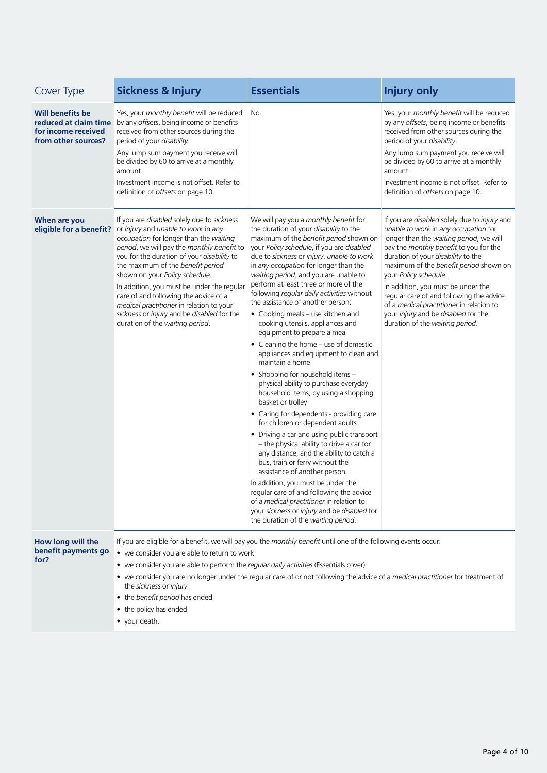| Cover Type                                                            | <b>Sickness &amp; Injury</b>                                                                                                                                                                                                                                                                                                                                                                                                                                                                                       | <b>Essentials</b>                                                                                                                                                                                                                                                                                                                                                                                                                                                                                                                                                                                                                                                                                                                                                                                                                                                                                                                                                                                                                                                                                                                                                                                                                                                                                       | <b>Injury only</b>                                                                                                                                                                                                                                                                                                                                                                                                                                                                         |
|-----------------------------------------------------------------------|--------------------------------------------------------------------------------------------------------------------------------------------------------------------------------------------------------------------------------------------------------------------------------------------------------------------------------------------------------------------------------------------------------------------------------------------------------------------------------------------------------------------|---------------------------------------------------------------------------------------------------------------------------------------------------------------------------------------------------------------------------------------------------------------------------------------------------------------------------------------------------------------------------------------------------------------------------------------------------------------------------------------------------------------------------------------------------------------------------------------------------------------------------------------------------------------------------------------------------------------------------------------------------------------------------------------------------------------------------------------------------------------------------------------------------------------------------------------------------------------------------------------------------------------------------------------------------------------------------------------------------------------------------------------------------------------------------------------------------------------------------------------------------------------------------------------------------------|--------------------------------------------------------------------------------------------------------------------------------------------------------------------------------------------------------------------------------------------------------------------------------------------------------------------------------------------------------------------------------------------------------------------------------------------------------------------------------------------|
| <b>Will benefits be</b><br>for income received<br>from other sources? | Yes, your monthly benefit will be reduced<br>reduced at claim time by any offsets, being income or benefits<br>received from other sources during the<br>period of your disability.<br>Any lump sum payment you receive will<br>be divided by 60 to arrive at a monthly<br>amount.<br>Investment income is not offset. Refer to<br>definition of offsets on page 10.                                                                                                                                               | No.                                                                                                                                                                                                                                                                                                                                                                                                                                                                                                                                                                                                                                                                                                                                                                                                                                                                                                                                                                                                                                                                                                                                                                                                                                                                                                     | Yes, your monthly benefit will be reduced<br>by any offsets, being income or benefits<br>received from other sources during the<br>period of your disability.<br>Any lump sum payment you receive will<br>be divided by 60 to arrive at a monthly<br>amount.<br>Investment income is not offset. Refer to<br>definition of offsets on page 10.                                                                                                                                             |
| When are you<br>eligible for a benefit?                               | If you are disabled solely due to sickness<br>or injury and unable to work in any<br>occupation for longer than the waiting<br>period, we will pay the monthly benefit to<br>you for the duration of your disability to<br>the maximum of the benefit period<br>shown on your Policy schedule.<br>In addition, you must be under the regular<br>care of and following the advice of a<br>medical practitioner in relation to your<br>sickness or injury and be disabled for the<br>duration of the waiting period. | We will pay you a monthly benefit for<br>the duration of your disability to the<br>maximum of the benefit period shown on<br>your Policy schedule, if you are disabled<br>due to sickness or injury, unable to work<br>in any occupation for longer than the<br>waiting period, and you are unable to<br>perform at least three or more of the<br>following regular daily activities without<br>the assistance of another person:<br>• Cooking meals – use kitchen and<br>cooking utensils, appliances and<br>equipment to prepare a meal<br>• Cleaning the home – use of domestic<br>appliances and equipment to clean and<br>maintain a home<br>• Shopping for household items -<br>physical ability to purchase everyday<br>household items, by using a shopping<br>basket or trolley<br>• Caring for dependents - providing care<br>for children or dependent adults<br>• Driving a car and using public transport<br>- the physical ability to drive a car for<br>any distance, and the ability to catch a<br>bus, train or ferry without the<br>assistance of another person.<br>In addition, you must be under the<br>regular care of and following the advice<br>of a medical practitioner in relation to<br>your sickness or injury and be disabled for<br>the duration of the waiting period. | If you are disabled solely due to injury and<br>unable to work in any occupation for<br>longer than the waiting period, we will<br>pay the monthly benefit to you for the<br>duration of your disability to the<br>maximum of the benefit period shown on<br>your Policy schedule.<br>In addition, you must be under the<br>regular care of and following the advice<br>of a medical practitioner in relation to<br>your injury and be disabled for the<br>duration of the waiting period. |
| How long will the<br>benefit payments go<br>for?                      | • we consider you are able to return to work<br>• we consider you are able to perform the regular daily activities (Essentials cover)                                                                                                                                                                                                                                                                                                                                                                              | If you are eligible for a benefit, we will pay you the monthly benefit until one of the following events occur:                                                                                                                                                                                                                                                                                                                                                                                                                                                                                                                                                                                                                                                                                                                                                                                                                                                                                                                                                                                                                                                                                                                                                                                         |                                                                                                                                                                                                                                                                                                                                                                                                                                                                                            |

- we consider you are no longer under the regular care of or not following the advice of a *medical practitioner* for treatment of the *sickness* or *injury*
- the *benefit period* has ended
- the policy has ended
- your death.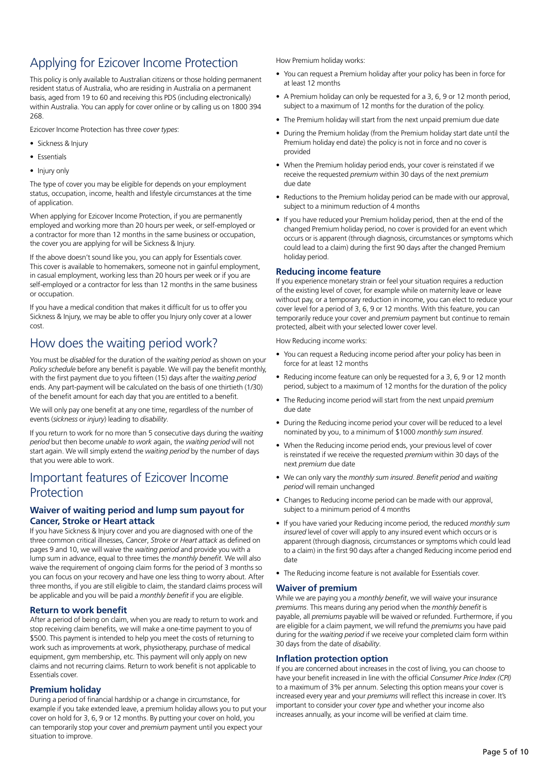## Applying for Ezicover Income Protection

This policy is only available to Australian citizens or those holding permanent resident status of Australia, who are residing in Australia on a permanent basis, aged from 19 to 60 and receiving this PDS (including electronically) within Australia. You can apply for cover online or by calling us on 1800 394 268.

Ezicover Income Protection has three *cover types*:

- Sickness & Injury
- Essentials
- Injury only

The type of cover you may be eligible for depends on your employment status, occupation, income, health and lifestyle circumstances at the time of application.

When applying for Ezicover Income Protection, if you are permanently employed and working more than 20 hours per week, or self-employed or a contractor for more than 12 months in the same business or occupation, the cover you are applying for will be Sickness & Injury.

If the above doesn't sound like you, you can apply for Essentials cover. This cover is available to homemakers, someone not in gainful employment, in casual employment, working less than 20 hours per week or if you are self-employed or a contractor for less than 12 months in the same business or occupation.

If you have a medical condition that makes it difficult for us to offer you Sickness & Injury, we may be able to offer you Injury only cover at a lower cost.

## How does the waiting period work?

You must be *disabled* for the duration of the *waiting period* as shown on your *Policy schedule* before any benefit is payable. We will pay the benefit monthly, with the first payment due to you fifteen (15) days after the *waiting period* ends. Any part-payment will be calculated on the basis of one thirtieth (1/30) of the benefit amount for each day that you are entitled to a benefit.

We will only pay one benefit at any one time, regardless of the number of events (*sickness* or *injury*) leading to *disability*.

If you return to work for no more than 5 consecutive days during the *waiting period* but then become *unable to work* again, the *waiting period* will not start again. We will simply extend the *waiting period* by the number of days that you were able to work.

## Important features of Ezicover Income Protection

#### **Waiver of waiting period and lump sum payout for Cancer, Stroke or Heart attack**

If you have Sickness & Injury cover and you are diagnosed with one of the three common critical illnesses, *Cancer*, *Stroke* or *Heart attack* as defined on pages 9 and 10, we will waive the *waiting period* and provide you with a lump sum in advance, equal to three times the *monthly benefit*. We will also waive the requirement of ongoing claim forms for the period of 3 months so you can focus on your recovery and have one less thing to worry about. After three months, if you are still eligible to claim, the standard claims process will be applicable and you will be paid a *monthly benefit* if you are eligible.

#### **Return to work benefit**

After a period of being on claim, when you are ready to return to work and stop receiving claim benefits, we will make a one-time payment to you of \$500. This payment is intended to help you meet the costs of returning to work such as improvements at work, physiotherapy, purchase of medical equipment, gym membership, etc. This payment will only apply on new claims and not recurring claims. Return to work benefit is not applicable to Essentials cover.

#### **Premium holiday**

During a period of financial hardship or a change in circumstance, for example if you take extended leave, a premium holiday allows you to put your cover on hold for 3, 6, 9 or 12 months. By putting your cover on hold, you can temporarily stop your cover and *premium* payment until you expect your situation to improve.

How Premium holiday works:

- You can request a Premium holiday after your policy has been in force for at least 12 months
- A Premium holiday can only be requested for a 3, 6, 9 or 12 month period, subject to a maximum of 12 months for the duration of the policy.
- The Premium holiday will start from the next unpaid premium due date
- During the Premium holiday (from the Premium holiday start date until the Premium holiday end date) the policy is not in force and no cover is provided
- When the Premium holiday period ends, your cover is reinstated if we receive the requested *premium* within 30 days of the next *premium* due date
- Reductions to the Premium holiday period can be made with our approval, subject to a minimum reduction of 4 months
- If you have reduced your Premium holiday period, then at the end of the changed Premium holiday period, no cover is provided for an event which occurs or is apparent (through diagnosis, circumstances or symptoms which could lead to a claim) during the first 90 days after the changed Premium holiday period.

#### **Reducing income feature**

If you experience monetary strain or feel your situation requires a reduction of the existing level of cover, for example while on maternity leave or leave without pay, or a temporary reduction in income, you can elect to reduce your cover level for a period of 3, 6, 9 or 12 months. With this feature, you can temporarily reduce your cover and *premium* payment but continue to remain protected, albeit with your selected lower cover level.

How Reducing income works:

- You can request a Reducing income period after your policy has been in force for at least 12 months
- Reducing income feature can only be requested for a 3, 6, 9 or 12 month period, subject to a maximum of 12 months for the duration of the policy
- The Reducing income period will start from the next unpaid *premium* due date
- During the Reducing income period your cover will be reduced to a level nominated by you, to a minimum of \$1000 *monthly sum insured*.
- When the Reducing income period ends, your previous level of cover is reinstated if we receive the requested *premium* within 30 days of the next *premium* due date
- We can only vary the *monthly sum insured*. *Benefit period* and *waiting period* will remain unchanged
- Changes to Reducing income period can be made with our approval, subject to a minimum period of 4 months
- If you have varied your Reducing income period, the reduced *monthly sum insured* level of cover will apply to any insured event which occurs or is apparent (through diagnosis, circumstances or symptoms which could lead to a claim) in the first 90 days after a changed Reducing income period end date
- The Reducing income feature is not available for Essentials cover.

#### **Waiver of premium**

While we are paying you a *monthly benefit*, we will waive your insurance *premiums*. This means during any period when the *monthly benefit* is payable, all *premiums* payable will be waived or refunded. Furthermore, if you are eligible for a claim payment, we will refund the *premiums* you have paid during for the *waiting period* if we receive your completed claim form within 30 days from the date of *disability*.

#### **Inflation protection option**

If you are concerned about increases in the cost of living, you can choose to have your benefit increased in line with the official *Consumer Price Index (CPI)*  to a maximum of 3% per annum. Selecting this option means your cover is increased every year and your *premiums* will reflect this increase in cover. It's important to consider your *cover type* and whether your income also increases annually, as your income will be verified at claim time.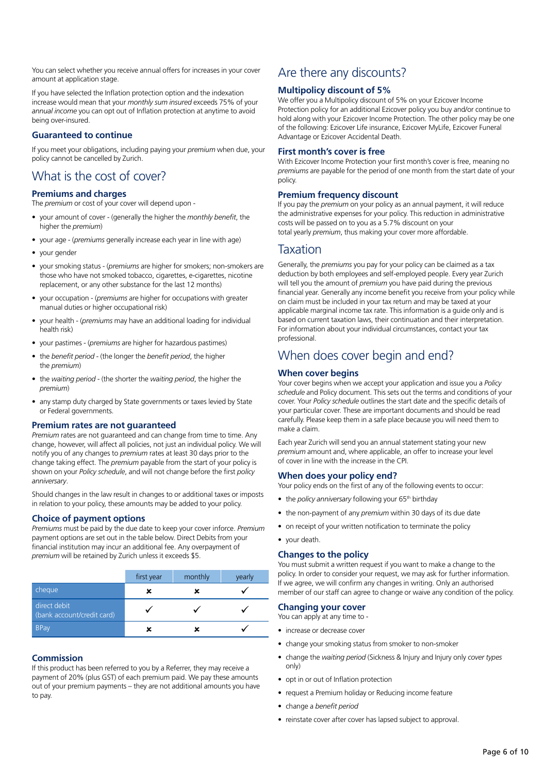You can select whether you receive annual offers for increases in your cover amount at application stage.

If you have selected the Inflation protection option and the indexation increase would mean that your *monthly sum insured* exceeds 75% of your *annual income* you can opt out of Inflation protection at anytime to avoid being over-insured.

#### **Guaranteed to continue**

If you meet your obligations, including paying your *premium* when due, your policy cannot be cancelled by Zurich.

## What is the cost of cover?

#### **Premiums and charges**

The *premium* or cost of your cover will depend upon -

- your amount of cover (generally the higher the *monthly benefit*, the higher the *premium*)
- your age (*premiums* generally increase each year in line with age)
- your gender
- your smoking status (*premiums* are higher for smokers; non-smokers are those who have not smoked tobacco, cigarettes, e-cigarettes, nicotine replacement, or any other substance for the last 12 months)
- your occupation (*premiums* are higher for occupations with greater manual duties or higher occupational risk)
- your health (*premiums* may have an additional loading for individual health risk)
- your pastimes (*premiums* are higher for hazardous pastimes)
- the *benefit period* (the longer the *benefit period*, the higher the *premium*)
- the *waiting period* (the shorter the *waiting period*, the higher the *premium*)
- any stamp duty charged by State governments or taxes levied by State or Federal governments.

#### **Premium rates are not guaranteed**

*Premium* rates are not guaranteed and can change from time to time. Any change, however, will affect all policies, not just an individual policy. We will notify you of any changes to *premium* rates at least 30 days prior to the change taking effect. The *premium* payable from the start of your policy is shown on your *Policy schedule*, and will not change before the first *policy anniversary*.

Should changes in the law result in changes to or additional taxes or imposts in relation to your policy, these amounts may be added to your policy.

#### **Choice of payment options**

*Premiums* must be paid by the due date to keep your cover inforce. *Premium* payment options are set out in the table below. Direct Debits from your financial institution may incur an additional fee. Any overpayment of *premium* will be retained by Zurich unless it exceeds \$5.

|                                            | first year | monthly | yearly |
|--------------------------------------------|------------|---------|--------|
| cheque                                     | ×          |         |        |
| direct debit<br>(bank account/credit card) |            |         |        |
| <b>BPay</b>                                |            |         |        |

#### **Commission**

If this product has been referred to you by a Referrer, they may receive a payment of 20% (plus GST) of each premium paid. We pay these amounts out of your premium payments – they are not additional amounts you have to pay.

## Are there any discounts?

#### **Multipolicy discount of 5%**

We offer you a Multipolicy discount of 5% on your Ezicover Income Protection policy for an additional Ezicover policy you buy and/or continue to hold along with your Ezicover Income Protection. The other policy may be one of the following: Ezicover Life insurance, Ezicover MyLife, Ezicover Funeral Advantage or Ezicover Accidental Death.

#### **First month's cover is free**

With Ezicover Income Protection your first month's cover is free, meaning no *premiums* are payable for the period of one month from the start date of your policy.

#### **Premium frequency discount**

If you pay the *premium* on your policy as an annual payment, it will reduce the administrative expenses for your policy. This reduction in administrative costs will be passed on to you as a 5.7% discount on your total yearly *premium*, thus making your cover more affordable.

### Taxation

Generally, the *premiums* you pay for your policy can be claimed as a tax deduction by both employees and self-employed people. Every year Zurich will tell you the amount of *premium* you have paid during the previous financial year. Generally any income benefit you receive from your policy while on claim must be included in your tax return and may be taxed at your applicable marginal income tax rate. This information is a guide only and is based on current taxation laws, their continuation and their interpretation. For information about your individual circumstances, contact your tax professional.

## When does cover begin and end?

#### **When cover begins**

Your cover begins when we accept your application and issue you a *Policy schedule* and Policy document. This sets out the terms and conditions of your cover. Your *Policy schedule* outlines the start date and the specific details of your particular cover. These are important documents and should be read carefully. Please keep them in a safe place because you will need them to make a claim.

Each year Zurich will send you an annual statement stating your new *premium* amount and, where applicable, an offer to increase your level of cover in line with the increase in the CPI.

#### **When does your policy end?**

Your policy ends on the first of any of the following events to occur:

- the *policy anniversary* following your 65<sup>th</sup> birthday
- the non-payment of any *premium* within 30 days of its due date
- on receipt of your written notification to terminate the policy
- your death.

#### **Changes to the policy**

You must submit a written request if you want to make a change to the policy. In order to consider your request, we may ask for further information. If we agree, we will confirm any changes in writing. Only an authorised member of our staff can agree to change or waive any condition of the policy.

#### **Changing your cover**

You can apply at any time to -

- increase or decrease cover
- change your smoking status from smoker to non-smoker
- change the *waiting period* (Sickness & Injury and Injury only *cover types* only)
- opt in or out of Inflation protection
- request a Premium holiday or Reducing income feature
- change a *benefit period*
- reinstate cover after cover has lapsed subject to approval.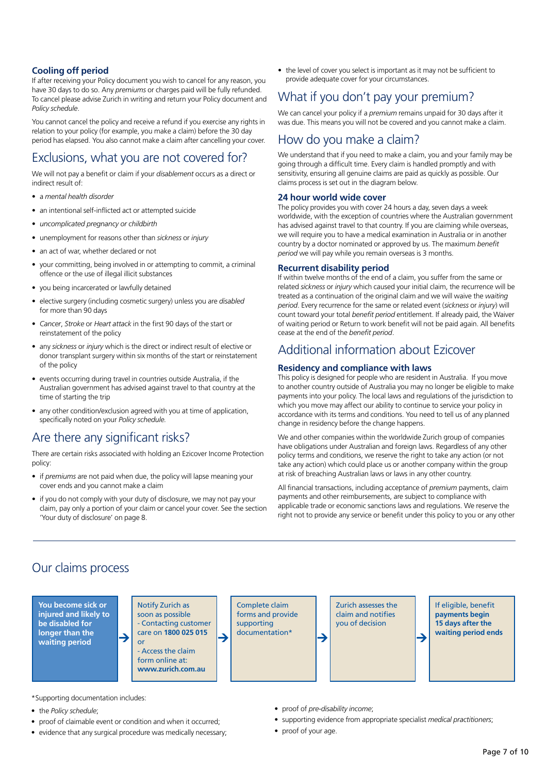#### **Cooling off period**

If after receiving your Policy document you wish to cancel for any reason, you have 30 days to do so. Any *premiums* or charges paid will be fully refunded. To cancel please advise Zurich in writing and return your Policy document and *Policy schedule*.

You cannot cancel the policy and receive a refund if you exercise any rights in relation to your policy (for example, you make a claim) before the 30 day period has elapsed. You also cannot make a claim after cancelling your cover.

### Exclusions, what you are not covered for?

We will not pay a benefit or claim if your *disablement* occurs as a direct or indirect result of:

- a *mental health disorder*
- an intentional self-inflicted act or attempted suicide
- *uncomplicated pregnancy or childbirth*
- unemployment for reasons other than *sickness* or *injury*
- an act of war, whether declared or not
- your committing, being involved in or attempting to commit, a criminal offence or the use of illegal illicit substances
- you being incarcerated or lawfully detained
- elective surgery (including cosmetic surgery) unless you are *disabled* for more than 90 days
- *Cancer*, *Stroke* or *Heart attack* in the first 90 days of the start or reinstatement of the policy
- any *sickness* or *injury* which is the direct or indirect result of elective or donor transplant surgery within six months of the start or reinstatement of the policy
- events occurring during travel in countries outside Australia, if the Australian government has advised against travel to that country at the time of starting the trip
- any other condition/exclusion agreed with you at time of application, specifically noted on your *Policy schedule.*

## Are there any significant risks?

There are certain risks associated with holding an Ezicover Income Protection policy:

- if *premiums* are not paid when due, the policy will lapse meaning your cover ends and you cannot make a claim
- if you do not comply with your duty of disclosure, we may not pay your claim, pay only a portion of your claim or cancel your cover. See the section 'Your duty of disclosure' on page 8.

• the level of cover you select is important as it may not be sufficient to provide adequate cover for your circumstances.

## What if you don't pay your premium?

We can cancel your policy if a *premium* remains unpaid for 30 days after it was due. This means you will not be covered and you cannot make a claim.

### How do you make a claim?

We understand that if you need to make a claim, you and your family may be going through a difficult time. Every claim is handled promptly and with sensitivity, ensuring all genuine claims are paid as quickly as possible. Our claims process is set out in the diagram below.

#### **24 hour world wide cover**

The policy provides you with cover 24 hours a day, seven days a week worldwide, with the exception of countries where the Australian government has advised against travel to that country. If you are claiming while overseas, we will require you to have a medical examination in Australia or in another country by a doctor nominated or approved by us. The maximum *benefit period* we will pay while you remain overseas is 3 months.

#### **Recurrent disability period**

If within twelve months of the end of a claim, you suffer from the same or related *sickness* or *injury* which caused your initial claim, the recurrence will be treated as a continuation of the original claim and we will waive the *waiting period*. Every recurrence for the same or related event (*sickness* or *injury*) will count toward your total *benefit period* entitlement. If already paid, the Waiver of waiting period or Return to work benefit will not be paid again. All benefits cease at the end of the *benefit period*.

### Additional information about Ezicover

#### **Residency and compliance with laws**

This policy is designed for people who are resident in Australia. If you move to another country outside of Australia you may no longer be eligible to make payments into your policy. The local laws and regulations of the jurisdiction to which you move may affect our ability to continue to service your policy in accordance with its terms and conditions. You need to tell us of any planned change in residency before the change happens.

We and other companies within the worldwide Zurich group of companies have obligations under Australian and foreign laws. Regardless of any other policy terms and conditions, we reserve the right to take any action (or not take any action) which could place us or another company within the group at risk of breaching Australian laws or laws in any other country.

All financial transactions, including acceptance of *premium* payments, claim payments and other reimbursements, are subject to compliance with applicable trade or economic sanctions laws and regulations. We reserve the right not to provide any service or benefit under this policy to you or any other

## Our claims process



\*Supporting documentation includes:

- the *Policy schedule*;
- proof of claimable event or condition and when it occurred;
- evidence that any surgical procedure was medically necessary;
- proof of *pre-disability income*;
- supporting evidence from appropriate specialist *medical practitioners*;
- proof of your age.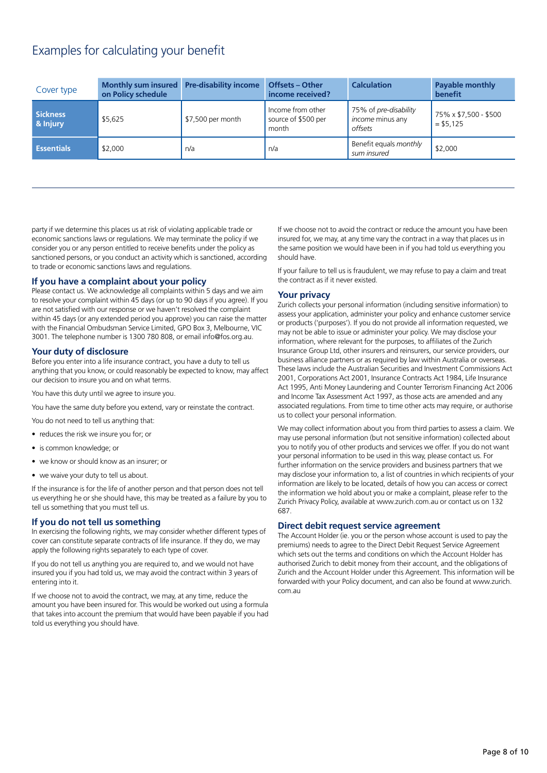## Examples for calculating your benefit

| Cover type           | Monthly sum insured Pre-disability income<br>on Policy schedule |                   | <b>Offsets – Other</b><br>income received?        | <b>Calculation</b>                                          | Payable monthly<br>benefit          |
|----------------------|-----------------------------------------------------------------|-------------------|---------------------------------------------------|-------------------------------------------------------------|-------------------------------------|
| Sickness<br>& Injury | \$5,625                                                         | \$7,500 per month | Income from other<br>source of \$500 per<br>month | 75% of pre-disability<br><i>income</i> minus any<br>offsets | 75% x \$7,500 - \$500<br>$= $5.125$ |
| <b>Essentials</b>    | \$2,000                                                         | n/a               | n/a                                               | Benefit equals monthly<br>sum insured                       | \$2,000                             |

party if we determine this places us at risk of violating applicable trade or economic sanctions laws or regulations. We may terminate the policy if we consider you or any person entitled to receive benefits under the policy as sanctioned persons, or you conduct an activity which is sanctioned, according to trade or economic sanctions laws and regulations.

#### **If you have a complaint about your policy**

Please contact us. We acknowledge all complaints within 5 days and we aim to resolve your complaint within 45 days (or up to 90 days if you agree). If you are not satisfied with our response or we haven't resolved the complaint within 45 days (or any extended period you approve) you can raise the matter with the Financial Ombudsman Service Limited, GPO Box 3, Melbourne, VIC 3001. The telephone number is 1300 780 808, or email info@fos.org.au.

#### **Your duty of disclosure**

Before you enter into a life insurance contract, you have a duty to tell us anything that you know, or could reasonably be expected to know, may affect our decision to insure you and on what terms.

You have this duty until we agree to insure you.

You have the same duty before you extend, vary or reinstate the contract.

You do not need to tell us anything that:

- reduces the risk we insure you for; or
- is common knowledge; or
- we know or should know as an insurer; or
- we waive your duty to tell us about.

If the insurance is for the life of another person and that person does not tell us everything he or she should have, this may be treated as a failure by you to tell us something that you must tell us.

#### **If you do not tell us something**

In exercising the following rights, we may consider whether different types of cover can constitute separate contracts of life insurance. If they do, we may apply the following rights separately to each type of cover.

If you do not tell us anything you are required to, and we would not have insured you if you had told us, we may avoid the contract within 3 years of entering into it.

If we choose not to avoid the contract, we may, at any time, reduce the amount you have been insured for. This would be worked out using a formula that takes into account the premium that would have been payable if you had told us everything you should have.

If we choose not to avoid the contract or reduce the amount you have been insured for, we may, at any time vary the contract in a way that places us in the same position we would have been in if you had told us everything you should have.

If your failure to tell us is fraudulent, we may refuse to pay a claim and treat the contract as if it never existed.

#### **Your privacy**

Zurich collects your personal information (including sensitive information) to assess your application, administer your policy and enhance customer service or products ('purposes'). If you do not provide all information requested, we may not be able to issue or administer your policy. We may disclose your information, where relevant for the purposes, to affiliates of the Zurich Insurance Group Ltd, other insurers and reinsurers, our service providers, our business alliance partners or as required by law within Australia or overseas. These laws include the Australian Securities and Investment Commissions Act 2001, Corporations Act 2001, Insurance Contracts Act 1984, Life Insurance Act 1995, Anti Money Laundering and Counter Terrorism Financing Act 2006 and Income Tax Assessment Act 1997, as those acts are amended and any associated regulations. From time to time other acts may require, or authorise us to collect your personal information.

We may collect information about you from third parties to assess a claim. We may use personal information (but not sensitive information) collected about you to notify you of other products and services we offer. If you do not want your personal information to be used in this way, please contact us. For further information on the service providers and business partners that we may disclose your information to, a list of countries in which recipients of your information are likely to be located, details of how you can access or correct the information we hold about you or make a complaint, please refer to the Zurich Privacy Policy, available at www.zurich.com.au or contact us on 132 687.

#### **Direct debit request service agreement**

The Account Holder (ie. you or the person whose account is used to pay the premiums) needs to agree to the Direct Debit Request Service Agreement which sets out the terms and conditions on which the Account Holder has authorised Zurich to debit money from their account, and the obligations of Zurich and the Account Holder under this Agreement. This information will be forwarded with your Policy document, and can also be found at www.zurich. com.au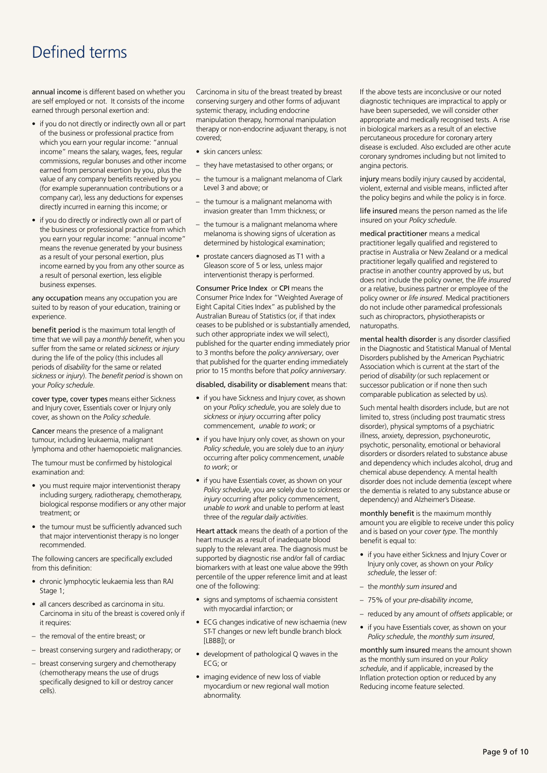## Defined terms

annual income is different based on whether you are self employed or not. It consists of the income earned through personal exertion and:

- if you do not directly or indirectly own all or part of the business or professional practice from which you earn your regular income: "annual income" means the salary, wages, fees, regular commissions, regular bonuses and other income earned from personal exertion by you, plus the value of any company benefits received by you (for example superannuation contributions or a company car), less any deductions for expenses directly incurred in earning this income; or
- if you do directly or indirectly own all or part of the business or professional practice from which you earn your regular income: "annual income" means the revenue generated by your business as a result of your personal exertion, plus income earned by you from any other source as a result of personal exertion, less eligible business expenses.

any occupation means any occupation you are suited to by reason of your education, training or experience.

benefit period is the maximum total length of time that we will pay a *monthly benefit*, when you suffer from the same or related *sickness* or *injury*  during the life of the policy (this includes all periods of *disability* for the same or related *sickness* or *injury*). The *benefit period* is shown on your *Policy schedule*.

cover type, cover types means either Sickness and Injury cover, Essentials cover or Injury only cover, as shown on the *Policy schedule*.

Cancer means the presence of a malignant tumour, including leukaemia, malignant lymphoma and other haemopoietic malignancies.

The tumour must be confirmed by histological examination and:

- you must require major interventionist therapy including surgery, radiotherapy, chemotherapy, biological response modifiers or any other major treatment; or
- the tumour must be sufficiently advanced such that major interventionist therapy is no longer recommended.

The following cancers are specifically excluded from this definition:

- chronic lymphocytic leukaemia less than RAI Stage 1:
- all cancers described as carcinoma in situ. Carcinoma in situ of the breast is covered only if it requires:
- the removal of the entire breast; or
- breast conserving surgery and radiotherapy; or
- breast conserving surgery and chemotherapy (chemotherapy means the use of drugs specifically designed to kill or destroy cancer cells).

Carcinoma in situ of the breast treated by breast conserving surgery and other forms of adjuvant systemic therapy, including endocrine manipulation therapy, hormonal manipulation therapy or non-endocrine adjuvant therapy, is not covered;

- skin cancers unless:
- they have metastasised to other organs; or
- the tumour is a malignant melanoma of Clark Level 3 and above; or
- the tumour is a malignant melanoma with invasion greater than 1mm thickness; or
- the tumour is a malignant melanoma where melanoma is showing signs of ulceration as determined by histological examination;
- prostate cancers diagnosed as T1 with a Gleason score of 5 or less, unless major interventionist therapy is performed.

Consumer Price Index or CPI means the Consumer Price Index for "Weighted Average of Eight Capital Cities Index" as published by the Australian Bureau of Statistics (or, if that index ceases to be published or is substantially amended, such other appropriate index we will select), published for the quarter ending immediately prior to 3 months before the *policy anniversary*, over that published for the quarter ending immediately prior to 15 months before that *policy anniversary*.

#### disabled, disability or disablement means that:

- if you have Sickness and Injury cover, as shown on your *Policy schedule*, you are solely due to *sickness* or *injury* occurring after policy commencement, *unable to work*; or
- if you have Injury only cover, as shown on your *Policy schedule*, you are solely due to an *injury* occurring after policy commencement, *unable to work*; or
- if you have Essentials cover, as shown on your *Policy schedule*, you are solely due to *sickness* or *injury* occurring after policy commencement, *unable to work* and unable to perform at least three of the *regular daily activities*.

Heart attack means the death of a portion of the heart muscle as a result of inadequate blood supply to the relevant area. The diagnosis must be supported by diagnostic rise and/or fall of cardiac biomarkers with at least one value above the 99th percentile of the upper reference limit and at least one of the following:

- signs and symptoms of ischaemia consistent with myocardial infarction; or
- ECG changes indicative of new ischaemia (new ST-T changes or new left bundle branch block [LBBB]); or
- development of pathological Q waves in the ECG; or
- imaging evidence of new loss of viable myocardium or new regional wall motion abnormality.

If the above tests are inconclusive or our noted diagnostic techniques are impractical to apply or have been superseded, we will consider other appropriate and medically recognised tests. A rise in biological markers as a result of an elective percutaneous procedure for coronary artery disease is excluded. Also excluded are other acute coronary syndromes including but not limited to angina pectoris.

injury means bodily injury caused by accidental, violent, external and visible means, inflicted after the policy begins and while the policy is in force.

life insured means the person named as the life insured on your *Policy schedule*.

medical practitioner means a medical practitioner legally qualified and registered to practise in Australia or New Zealand or a medical practitioner legally qualified and registered to practise in another country approved by us, but does not include the policy owner, the *life insured* or a relative, business partner or employee of the policy owner or *life insured*. Medical practitioners do not include other paramedical professionals such as chiropractors, physiotherapists or naturopaths.

mental health disorder is any disorder classified in the Diagnostic and Statistical Manual of Mental Disorders published by the American Psychiatric Association which is current at the start of the period of *disability* (or such replacement or successor publication or if none then such comparable publication as selected by us).

Such mental health disorders include, but are not limited to, stress (including post traumatic stress disorder), physical symptoms of a psychiatric illness, anxiety, depression, psychoneurotic, psychotic, personality, emotional or behavioral disorders or disorders related to substance abuse and dependency which includes alcohol, drug and chemical abuse dependency. A mental health disorder does not include dementia (except where the dementia is related to any substance abuse or dependency) and Alzheimer's Disease.

monthly benefit is the maximum monthly amount you are eligible to receive under this policy and is based on your *cover type*. The monthly benefit is equal to:

- if you have either Sickness and Injury Cover or Injury only cover, as shown on your *Policy schedule*, the lesser of:
- the *monthly sum insured* and
- 75% of your *pre-disability income*,
- reduced by any amount of *offsets* applicable; or
- if you have Essentials cover, as shown on your *Policy schedule*, the *monthly sum insured*,

monthly sum insured means the amount shown as the monthly sum insured on your *Policy schedule*, and if applicable, increased by the Inflation protection option or reduced by any Reducing income feature selected.